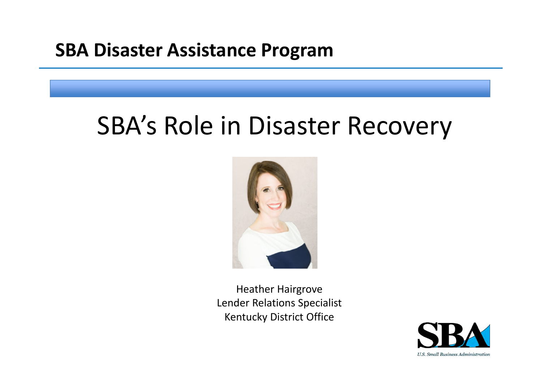#### **SBA Disaster Assistance Program**

## SBA's Role in Disaster Recovery



Heather Hairgrove Lender Relations Specialist Kentucky District Office

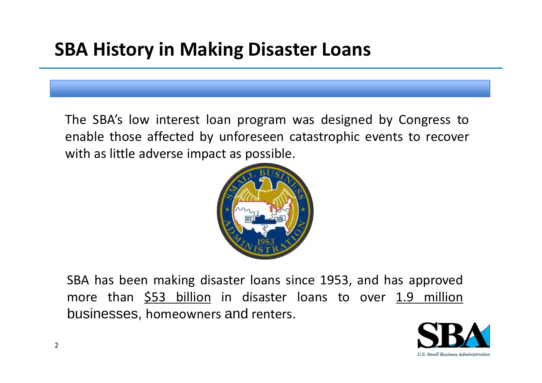#### **SBA History in Making Disaster Loans**

The SBA's low interest loan program was designed by Congress to enable those affected by unforeseen catastrophic events to recover with as little adverse impact as possible.



SBA has been making disaster loans since 1953, and has approved more than  $$53$  billion in disaster loans to over 1.9 million businesses, homeowners and renters.

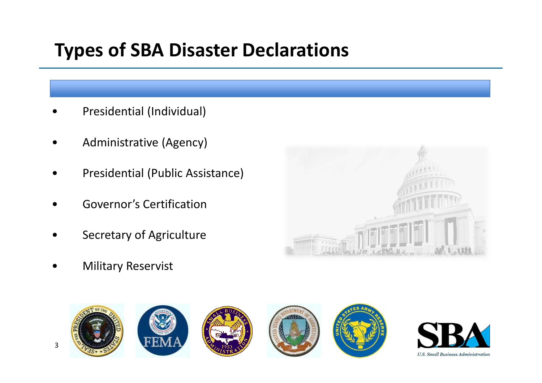### **Types of SBA Disaster Declarations**

- Presidential (Individual)
- Administrative (Agency)
- Presidential (Public Assistance)
- Governor's Certification
- Secretary of Agriculture
- **Military Reservist**





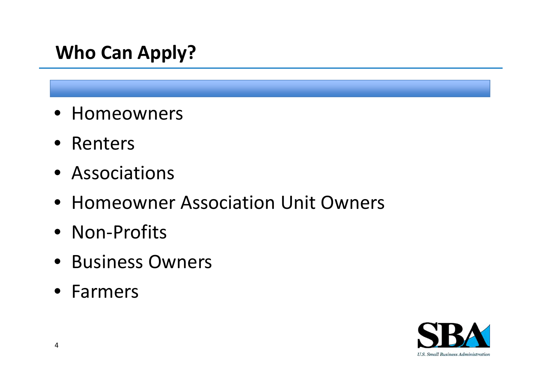#### **Who Can Apply?**

- Homeowners
- Renters
- Associations
- Homeowner Association Unit Owners
- Non-Profits
- Business Owners
- Farmers

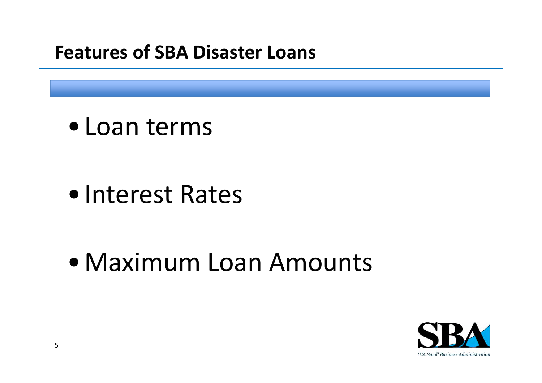#### **Features of SBA Disaster Loans**

• Loan terms

• Interest Rates

• Maximum Loan Amounts

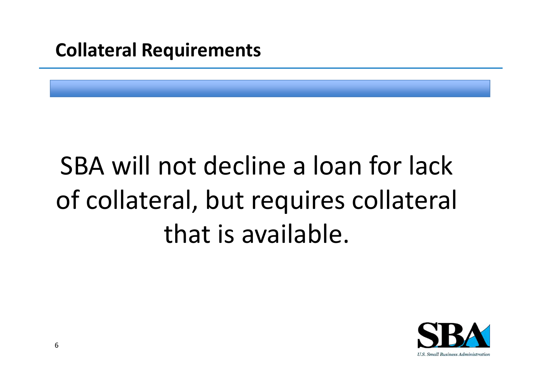#### **Collateral Requirements**

# SBA will not decline a loan for lack of collateral, but requires collateral that is available.

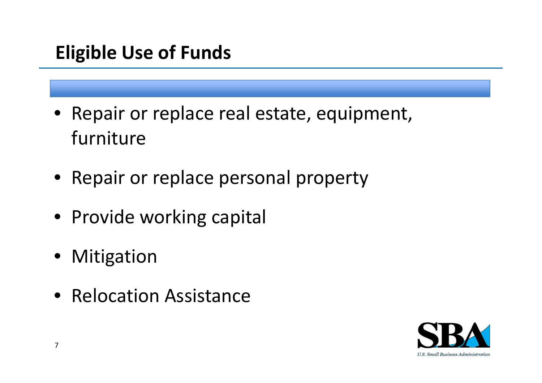### **Eligible Use of Funds**

- Repair or replace real estate, equipment, furniture
- Repair or replace personal property
- Provide working capital
- **Mitigation**
- Relocation Assistance

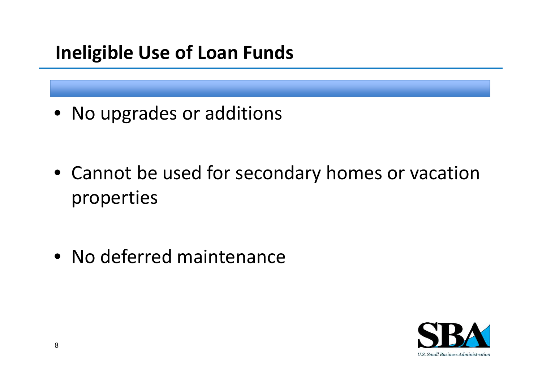#### **Ineligible Use of Loan Funds**

• No upgrades or additions

• Cannot be used for secondary homes or vacation properties

• No deferred maintenance

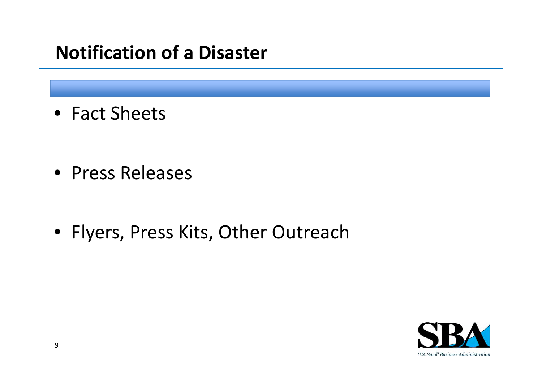#### **Notification of a Disaster**

• Fact Sheets

• Press Releases

• Flyers, Press Kits, Other Outreach

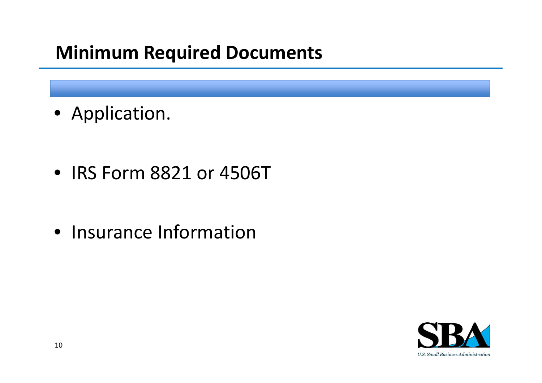#### **Minimum Required Documents**

• Application.

• IRS Form 8821 or 4506T

• Insurance Information

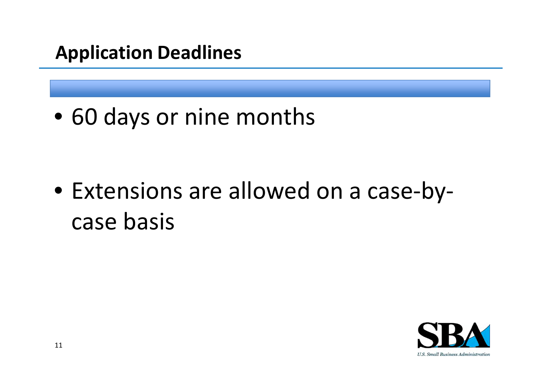#### **Application Deadlines**

• 60 days or nine months

• Extensions are allowed on a case-bycase basis

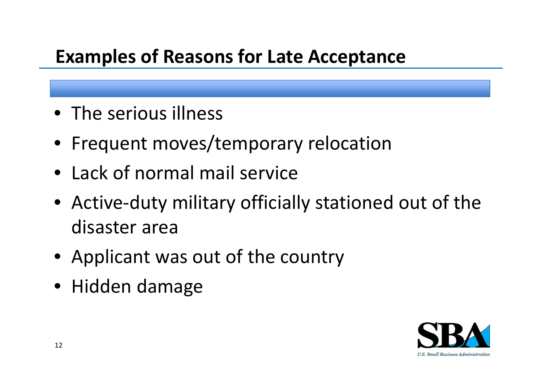#### **Examples of Reasons for Late Acceptance**

- The serious illness
- Frequent moves/temporary relocation
- Lack of normal mail service
- Active-duty military officially stationed out of the disaster area
- Applicant was out of the country
- Hidden damage

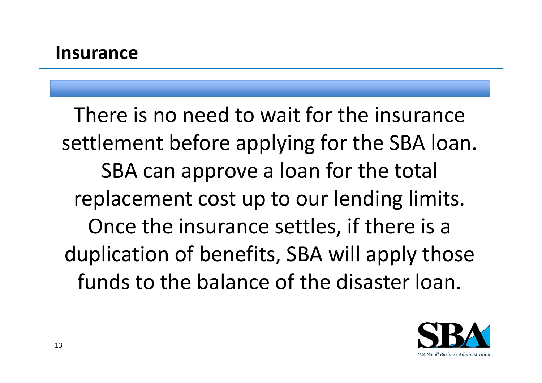There is no need to wait for the insurance settlement before applying for the SBA loan. SBA can approve a loan for the total replacement cost up to our lending limits. Once the insurance settles, if there is a duplication of benefits, SBA will apply those funds to the balance of the disaster loan.

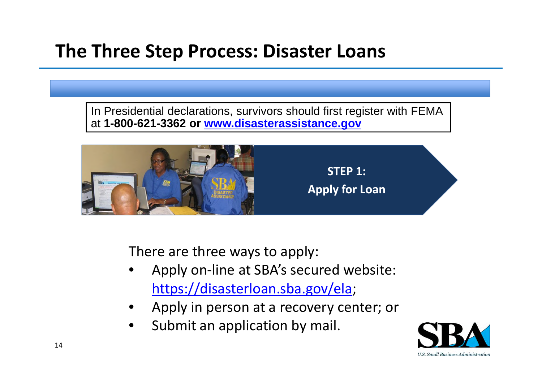#### **The Three Step Process: Disaster Loans**

In Presidential declarations, survivors should first register with FEMA at **1-800-621-3362 or [www.disasterassistance.gov](http://www.disasterassistance.gov/)**



There are three ways to apply:

- Apply on-line at SBA's secured website: [https://disasterloan.sba.gov/ela;](https://disasterloan.sba.gov/ela)
- Apply in person at a recovery center; or
- Submit an application by mail.

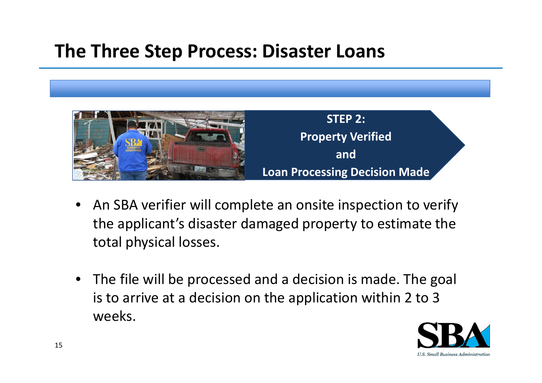#### **The Three Step Process: Disaster Loans**



- An SBA verifier will complete an onsite inspection to verify the applicant's disaster damaged property to estimate the total physical losses.
- The file will be processed and a decision is made. The goal is to arrive at a decision on the application within 2 to 3 weeks.

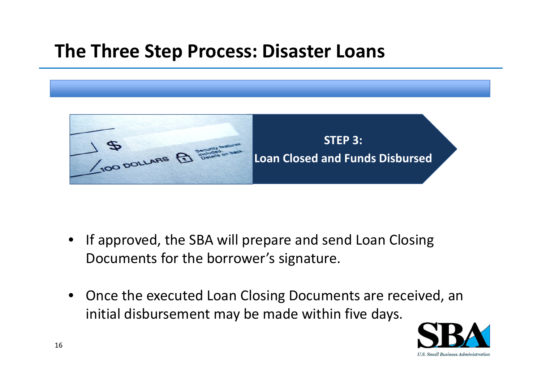#### **The Three Step Process: Disaster Loans**



- If approved, the SBA will prepare and send Loan Closing Documents for the borrower's signature.
- Once the executed Loan Closing Documents are received, an initial disbursement may be made within five days.

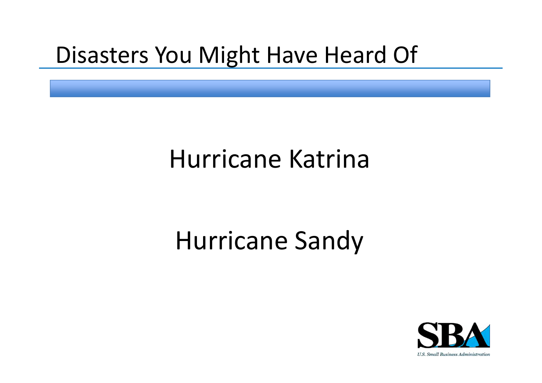### Disasters You Might Have Heard Of

## Hurricane Katrina

### Hurricane Sandy

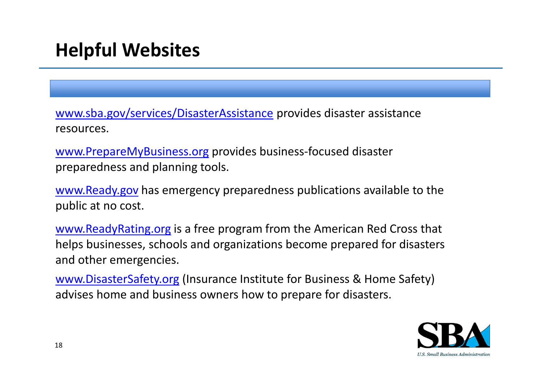[www.sba.gov/services/DisasterAssistance](http://www.sba.gov/services/DisasterAssistance) provides disaster assistance resources.

[www.PrepareMyBusiness.org](http://www.preparemybusiness.org/) provides business-focused disaster preparedness and planning tools.

[www.Ready.gov](http://www.ready.gov/) has emergency preparedness publications available to the public at no cost.

[www.ReadyRating.org](http://www.readyrating.org/) is a free program from the American Red Cross that helps businesses, schools and organizations become prepared for disasters and other emergencies.

[www.DisasterSafety.org](http://www.disastersafety.org/) (Insurance Institute for Business & Home Safety) advises home and business owners how to prepare for disasters.

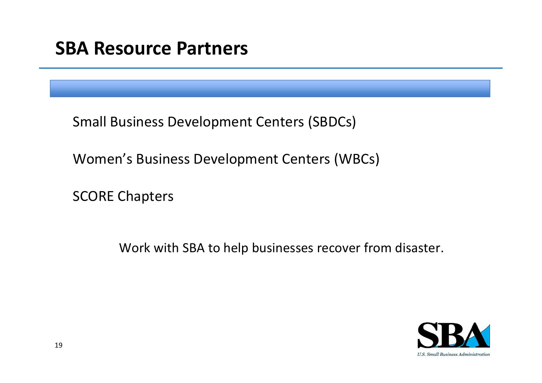| <b>SBA Resource Partners</b> |  |
|------------------------------|--|
|------------------------------|--|

Small Business Development Centers (SBDCs)

Women's Business Development Centers (WBCs)

SCORE Chapters

Work with SBA to help businesses recover from disaster.